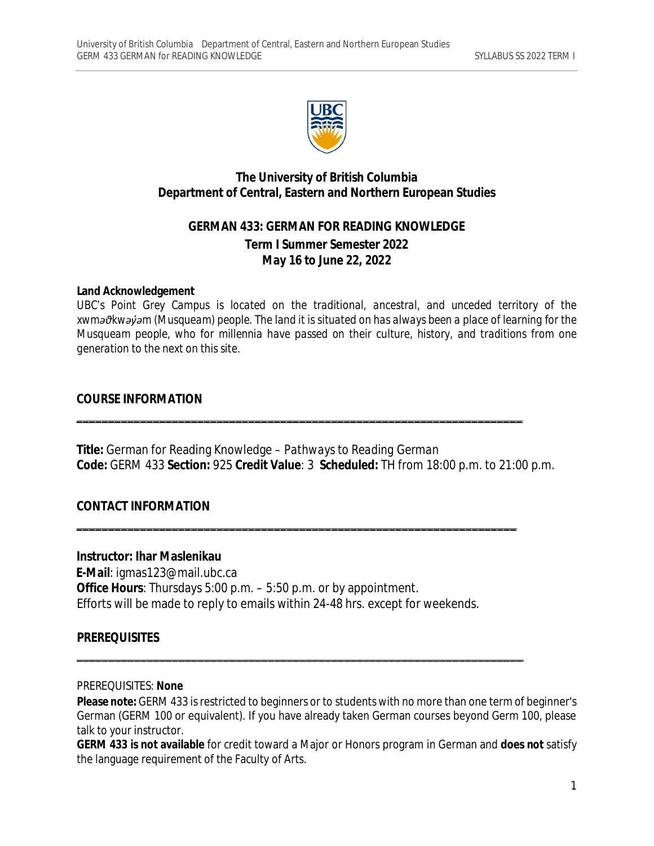

# **The University of British Columbia Department of Central, Eastern and Northern European Studies**

# **GERMAN 433: GERMAN FOR READING KNOWLEDGE Term I Summer Semester 2022 May 16 to June 22, 2022**

#### **Land Acknowledgement**

*UBC's Point Grey Campus is located on the traditional, ancestral, and unceded territory of the xwməθkwəy̓əm (Musqueam) people. The land it is situated on has always been a place of learning for the Musqueam people, who for millennia have passed on their culture, history, and traditions from one generation to the next on this site.*

#### **COURSE INFORMATION**

**Title:** German for Reading Knowledge – *Pathways to Reading German* **Code:** GERM 433 **Section:** 925 **Credit Value**: 3 **Scheduled:** TH from 18:00 p.m. to 21:00 p.m.

\_\_\_\_\_\_\_\_\_\_\_\_\_\_\_\_\_\_\_\_\_\_\_\_\_\_\_\_\_\_\_\_\_\_\_\_\_\_\_\_\_\_\_\_\_\_\_\_\_\_\_\_\_\_\_\_\_\_\_\_\_\_\_\_\_\_\_\_\_\_

\_\_\_\_\_\_\_\_\_\_\_\_\_\_\_\_\_\_\_\_\_\_\_\_\_\_\_\_\_\_\_\_\_\_\_\_\_\_\_\_\_\_\_\_\_\_\_\_\_\_\_\_\_\_\_\_\_\_\_\_\_\_\_\_\_\_\_\_\_

\_\_\_\_\_\_\_\_\_\_\_\_\_\_\_\_\_\_\_\_\_\_\_\_\_\_\_\_\_\_\_\_\_\_\_\_\_\_\_\_\_\_\_\_\_\_\_\_\_\_\_\_\_\_\_\_\_\_\_\_\_\_\_\_\_\_\_\_\_\_

### **CONTACT INFORMATION**

#### **Instructor: Ihar Maslenikau**

**E-Mail**: [igmas123@mail.ubc.ca](mailto:igmas123@mail.ubc.ca) **Office Hours**: Thursdays 5:00 p.m. – 5:50 p.m. or by appointment. Efforts will be made to reply to emails within 24-48 hrs. except for weekends.

### **PREREQUISITES**

#### PREREQUISITES: **None**

**Please note:** GERM 433 is restricted to beginners or to students with no more than one term of beginner's German (GERM 100 or equivalent). If you have already taken German courses beyond Germ 100, please talk to your instructor.

**GERM 433 is not available** for credit toward a Major or Honors program in German and **does not** satisfy the language requirement of the Faculty of Arts.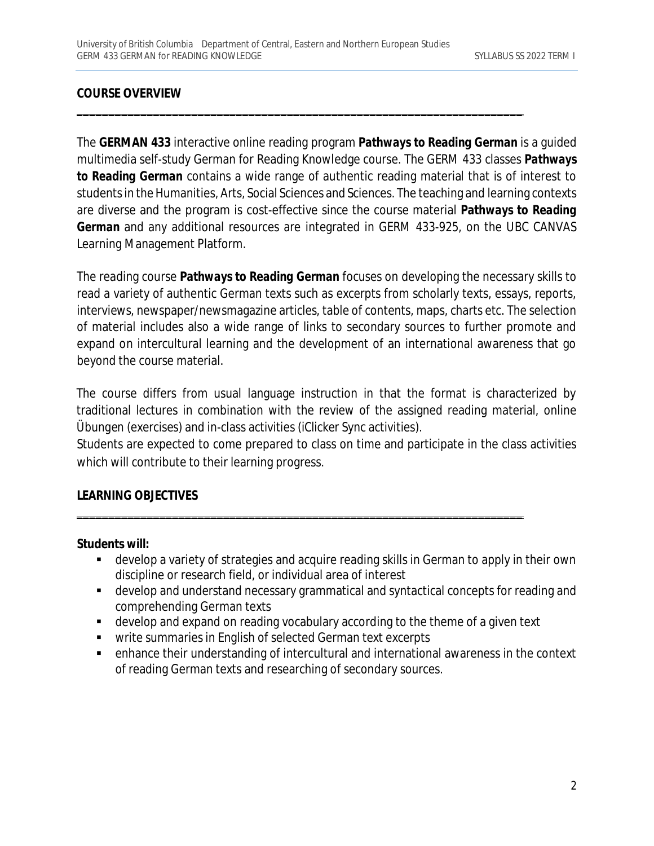# **COURSE OVERVIEW**

The **GERMAN 433** interactive online reading program *Pathways to Reading German* is a guided multimedia self-study German for Reading Knowledge course. The GERM 433 classes *Pathways to Reading German* contains a wide range of authentic reading material that is of interest to students in the Humanities, Arts, Social Sciences and Sciences. The teaching and learning contexts are diverse and the program is cost-effective since the course material *Pathways to Reading German* and any additional resources are integrated in GERM 433-925, on the UBC CANVAS Learning Management Platform.

\_\_\_\_\_\_\_\_\_\_\_\_\_\_\_\_\_\_\_\_\_\_\_\_\_\_\_\_\_\_\_\_\_\_\_\_\_\_\_\_\_\_\_\_\_\_\_\_\_\_\_\_\_\_\_\_\_\_\_\_\_\_\_\_\_\_\_\_\_\_

The reading course *Pathways to Reading German* focuses on developing the necessary skills to read a variety of authentic German texts such as excerpts from scholarly texts, essays, reports, interviews, newspaper/newsmagazine articles, table of contents, maps, charts etc. The selection of material includes also a wide range of links to secondary sources to further promote and expand on intercultural learning and the development of an international awareness that go beyond the course material.

The course differs from usual language instruction in that the format is characterized by traditional lectures in combination with the review of the assigned reading material, online *Übungen* (exercises) and in-class activities (iClicker Sync activities).

Students are expected to come prepared to class on time and participate in the class activities which will contribute to their learning progress.

\_\_\_\_\_\_\_\_\_\_\_\_\_\_\_\_\_\_\_\_\_\_\_\_\_\_\_\_\_\_\_\_\_\_\_\_\_\_\_\_\_\_\_\_\_\_\_\_\_\_\_\_\_\_\_\_\_\_\_\_\_\_\_\_\_\_\_\_\_\_

### **LEARNING OBJECTIVES**

#### **Students will:**

- develop a variety of strategies and acquire reading skills in German to apply in their own discipline or research field, or individual area of interest
- develop and understand necessary grammatical and syntactical concepts for reading and comprehending German texts
- develop and expand on reading vocabulary according to the theme of a given text
- **•** write summaries in English of selected German text excerpts
- enhance their understanding of intercultural and international awareness in the context of reading German texts and researching of secondary sources.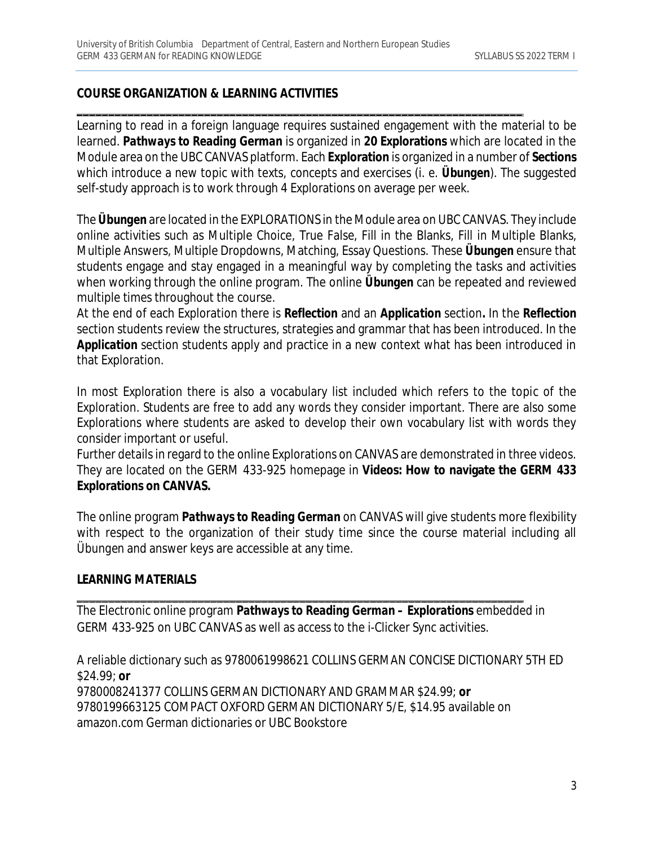### **COURSE ORGANIZATION & LEARNING ACTIVITIES**

Learning to read in a foreign language requires sustained engagement with the material to be learned. *Pathways to Reading German* is organized in **20 Explorations** which are located in the Module area on the UBC CANVAS platform. Each **Exploration** is organized in a number of **Sections**  which introduce a new topic with texts, concepts and exercises (i. e. *Übungen*). The suggested self-study approach is to work through 4 Explorations on average per week.

\_\_\_\_\_\_\_\_\_\_\_\_\_\_\_\_\_\_\_\_\_\_\_\_\_\_\_\_\_\_\_\_\_\_\_\_\_\_\_\_\_\_\_\_\_\_\_\_\_\_\_\_\_\_\_\_\_\_\_\_\_\_\_\_\_\_\_\_\_\_

The *Übungen* are located in the EXPLORATIONS in the Module area on UBC CANVAS. They include online activities such as Multiple Choice, True False, Fill in the Blanks, Fill in Multiple Blanks, Multiple Answers, Multiple Dropdowns, Matching, Essay Questions. These *Übungen* ensure that students engage and stay engaged in a meaningful way by completing the tasks and activities when working through the online program. The online *Übungen* can be repeated and reviewed multiple times throughout the course.

At the end of each Exploration there is *Reflection* and an *Application* section*.* In the *Reflection*  section students review the structures, strategies and grammar that has been introduced. In the Application section students apply and practice in a new context what has been introduced in that Exploration.

In most Exploration there is also a vocabulary list included which refers to the topic of the Exploration. Students are free to add any words they consider important. There are also some Explorations where students are asked to develop their own vocabulary list with words they consider important or useful.

Further details in regard to the online Explorations on CANVAS are demonstrated in three videos. They are located on the GERM 433-925 homepage in **Videos: How to navigate the GERM 433 Explorations on CANVAS.**

The online program *Pathways to Reading German* on CANVAS will give students more flexibility with respect to the organization of their study time since the course material including all *Übungen* and answer keys are accessible at any time.

### **LEARNING MATERIALS**

The Electronic online program *Pathways to Reading German – Explorations* embedded in GERM 433-925 on UBC CANVAS as well as access to the i-Clicker Sync activities.

\_\_\_\_\_\_\_\_\_\_\_\_\_\_\_\_\_\_\_\_\_\_\_\_\_\_\_\_\_\_\_\_\_\_\_\_\_\_\_\_\_\_\_\_\_\_\_\_\_\_\_\_\_\_\_\_\_\_\_\_\_\_\_\_\_\_\_\_\_\_

A reliable dictionary such as 9780061998621 COLLINS GERMAN CONCISE DICTIONARY 5TH ED \$24.99; **or** 9780008241377 COLLINS GERMAN DICTIONARY AND GRAMMAR \$24.99; **or** 9780199663125 COMPACT OXFORD GERMAN DICTIONARY 5/E, \$14.95 available on amazon.com German dictionaries or UBC Bookstore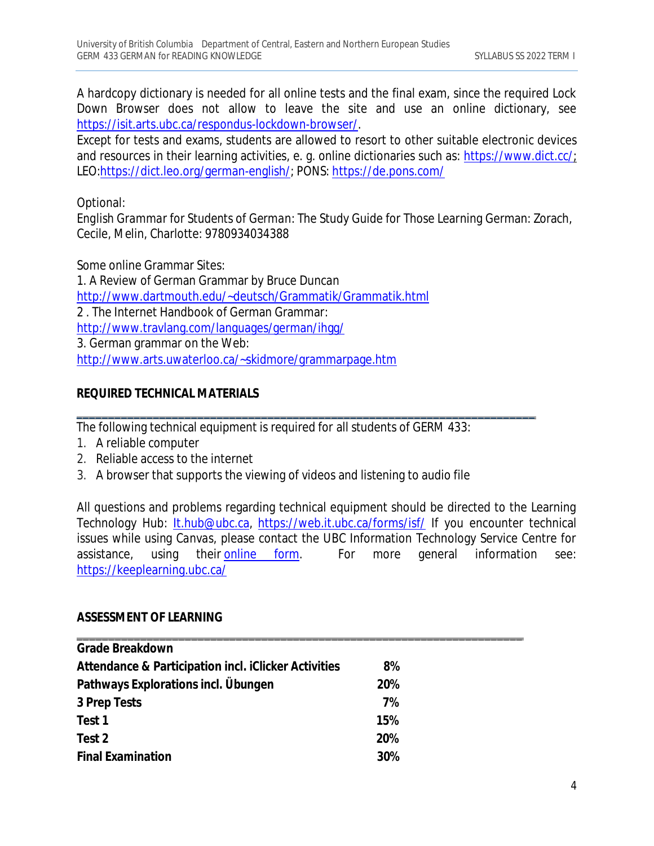A hardcopy dictionary is needed for all online tests and the final exam, since the required Lock Down Browser does not allow to leave the site and use an online dictionary, see <https://isit.arts.ubc.ca/respondus-lockdown-browser/.>

Except for tests and exams, students are allowed to resort to other suitable electronic devices and resources in their learning activities, e. g. online dictionaries such as: <https://www.dict.cc/;> LEO:<https://dict.leo.org/german-english/;> PONS:<https://de.pons.com/>

Optional:

*English Grammar for Students of German*: The Study Guide for Those Learning German: Zorach, Cecile, Melin, Charlotte: 9780934034388

Some online Grammar Sites:

1. A Review of German Grammar by Bruce Duncan <http://www.dartmouth.edu/~deutsch/Grammatik/Grammatik.html> 2 . The Internet Handbook of German Grammar: <http://www.travlang.com/languages/german/ihgg/> 3. German grammar on the Web: <http://www.arts.uwaterloo.ca/~skidmore/grammarpage.htm>

# **REQUIRED TECHNICAL MATERIALS**

The following technical equipment is required for all students of GERM 433:

\_\_\_\_\_\_\_\_\_\_\_\_\_\_\_\_\_\_\_\_\_\_\_\_\_\_\_\_\_\_\_\_\_\_\_\_\_\_\_\_\_\_\_\_\_\_\_\_\_\_\_\_\_\_\_\_\_\_\_\_\_\_\_\_\_\_\_\_\_\_\_\_

- 1. A reliable computer
- 2. Reliable access to the internet
- 3. A browser that supports the viewing of videos and listening to audio file

All questions and problems regarding technical equipment should be directed to the Learning Technology Hub: [It.hub@ubc.ca,](mailto:It.hub@ubc.ca,) <https://web.it.ubc.ca/forms/isf/> If you encounter technical issues while using *Canvas*, please contact the UBC Information Technology Service Centre for assistance, using their online form. For more general information see: <https://keeplearning.ubc.ca/>

# **ASSESSMENT OF LEARNING**

| <b>Grade Breakdown</b>                                      |     |  |
|-------------------------------------------------------------|-----|--|
| Attendance & Participation incl. <i>iClicker Activities</i> | 8%  |  |
| Pathways Explorations incl. Übungen                         | 20% |  |
| 3 Prep Tests                                                | 7%  |  |
| Test 1                                                      | 15% |  |
| Test 2                                                      | 20% |  |
| <b>Final Examination</b>                                    | 30% |  |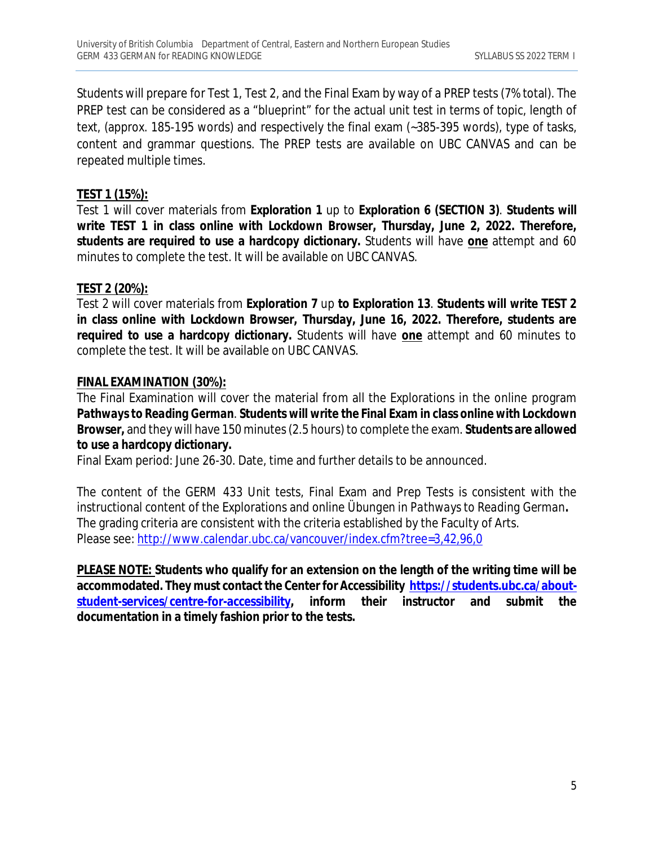Students will prepare for Test 1, Test 2, and the Final Exam by way of a PREP tests (7% total). The PREP test can be considered as a "blueprint" for the actual unit test in terms of topic, length of text, (approx. 185-195 words) and respectively the final exam (~385-395 words), type of tasks, content and grammar questions. The PREP tests are available on UBC CANVAS and can be repeated multiple times.

# **TEST 1 (15%):**

Test 1 will cover materials from **Exploration 1** up to **Exploration 6 (SECTION 3)**. **Students will write TEST 1 in class online with Lockdown Browser, Thursday, June 2, 2022. Therefore, students are required to use a hardcopy dictionary.** Students will have **one** attempt and 60 minutes to complete the test. It will be available *on UBC CANVAS.*

# **TEST 2 (20%):**

Test 2 will cover materials from **Exploration 7** up **to Exploration 13**. **Students will write TEST 2 in class online with Lockdown Browser, Thursday, June 16, 2022. Therefore, students are required to use a hardcopy dictionary.** Students will have **one** attempt and 60 minutes to complete the test. It will be available *on UBC CANVAS*.

### **FINAL EXAMINATION (30%):**

The Final Examination will cover the material from all the Explorations in the online program *Pathways to Reading German*. **Students will write the Final Exam in class online with Lockdown Browser,** and they will have 150 minutes (2.5 hours) to complete the exam. **Students are allowed to use a hardcopy dictionary.**

Final Exam period: June 26-30. Date, time and further details to be announced.

The content of the GERM 433 Unit tests, Final Exam and Prep Tests is consistent with the instructional content of the Explorations and online *Übungen* in *Pathways to Reading German***.**  The grading criteria are consistent with the criteria established by the Faculty of Arts. Please see: <http://www.calendar.ubc.ca/vancouver/index.cfm?tree=3,42,96,0>

**PLEASE NOTE: Students who qualify for an extension on the length of the writing time will be accommodated. They must contact the Center for Accessibility [https://students.ubc.ca/about](https://students.ubc.ca/about-)student-services/centre-for-accessibility, inform their instructor and submit the documentation in a timely fashion prior to the tests.**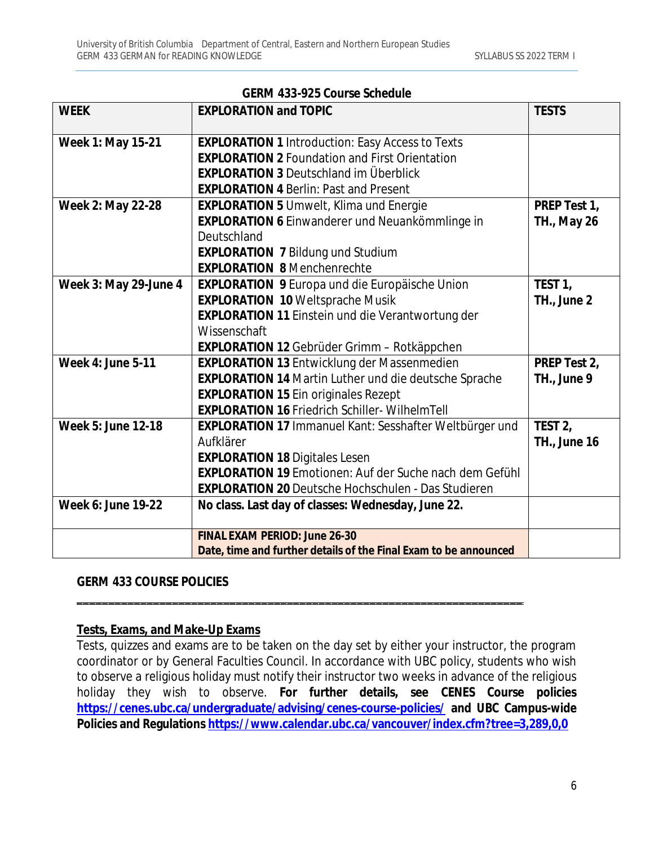| <b>GERM 433-925 Course Schedule</b> |                                                                  |                     |
|-------------------------------------|------------------------------------------------------------------|---------------------|
| <b>WEEK</b>                         | <b>EXPLORATION and TOPIC</b>                                     | <b>TESTS</b>        |
|                                     |                                                                  |                     |
| Week 1: May 15-21                   | <b>EXPLORATION 1 Introduction: Easy Access to Texts</b>          |                     |
|                                     | <b>EXPLORATION 2 Foundation and First Orientation</b>            |                     |
|                                     | <b>EXPLORATION 3 Deutschland im Überblick</b>                    |                     |
|                                     | <b>EXPLORATION 4 Berlin: Past and Present</b>                    |                     |
| Week 2: May 22-28                   | <b>EXPLORATION 5 Umwelt, Klima und Energie</b>                   | PREP Test 1,        |
|                                     | <b>EXPLORATION 6 Einwanderer und Neuankömmlinge in</b>           | <b>TH., May 26</b>  |
|                                     | Deutschland                                                      |                     |
|                                     | <b>EXPLORATION 7 Bildung und Studium</b>                         |                     |
|                                     | <b>EXPLORATION 8 Menchenrechte</b>                               |                     |
| Week 3: May 29-June 4               | <b>EXPLORATION 9 Europa und die Europäische Union</b>            | TEST <sub>1</sub> , |
|                                     | <b>EXPLORATION 10 Weltsprache Musik</b>                          | TH., June 2         |
|                                     | <b>EXPLORATION 11 Einstein und die Verantwortung der</b>         |                     |
|                                     | Wissenschaft                                                     |                     |
|                                     | <b>EXPLORATION 12 Gebrüder Grimm - Rotkäppchen</b>               |                     |
| <b>Week 4: June 5-11</b>            | <b>EXPLORATION 13 Entwicklung der Massenmedien</b>               | PREP Test 2,        |
|                                     | <b>EXPLORATION 14 Martin Luther und die deutsche Sprache</b>     | TH., June 9         |
|                                     | <b>EXPLORATION 15 Ein originales Rezept</b>                      |                     |
|                                     | <b>EXPLORATION 16 Friedrich Schiller- WilhelmTell</b>            |                     |
| <b>Week 5: June 12-18</b>           | EXPLORATION 17 Immanuel Kant: Sesshafter Weltbürger und          | TEST <sub>2</sub> , |
|                                     | Aufklärer                                                        | <b>TH., June 16</b> |
|                                     | <b>EXPLORATION 18 Digitales Lesen</b>                            |                     |
|                                     | <b>EXPLORATION 19 Emotionen: Auf der Suche nach dem Gefühl</b>   |                     |
|                                     | <b>EXPLORATION 20 Deutsche Hochschulen - Das Studieren</b>       |                     |
| <b>Week 6: June 19-22</b>           | No class. Last day of classes: Wednesday, June 22.               |                     |
|                                     |                                                                  |                     |
|                                     | <b>FINAL EXAM PERIOD: June 26-30</b>                             |                     |
|                                     | Date, time and further details of the Final Exam to be announced |                     |

### **GERM 433 COURSE POLICIES**

#### **Tests, Exams, and Make-Up Exams**

Tests, quizzes and exams are to be taken on the day set by either your instructor, the program coordinator or by General Faculties Council. In accordance with UBC policy, students who wish to observe a religious holiday must notify their instructor two weeks in advance of the religious holiday they wish to observe. **For further details, see CENES Course policies <https://cenes.ubc.ca/undergraduate/advising/cenes-course-policies/> and UBC Campus-wide Policies and Regulations <https://www.calendar.ubc.ca/vancouver/index.cfm?tree=3,289,0,0>**

\_\_\_\_\_\_\_\_\_\_\_\_\_\_\_\_\_\_\_\_\_\_\_\_\_\_\_\_\_\_\_\_\_\_\_\_\_\_\_\_\_\_\_\_\_\_\_\_\_\_\_\_\_\_\_\_\_\_\_\_\_\_\_\_\_\_\_\_\_\_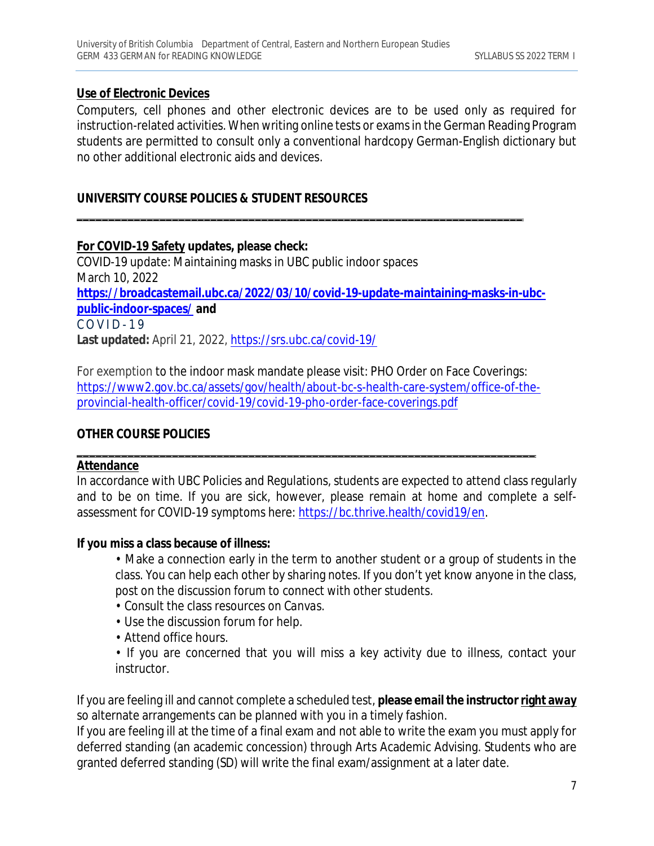### **Use of Electronic Devices**

Computers, cell phones and other electronic devices are to be used only as required for instruction-related activities. When writing online tests or examsin the German Reading Program students are permitted to consult only a conventional hardcopy German-English dictionary but no other additional electronic aids and devices.

# **UNIVERSITY COURSE POLICIES & STUDENT RESOURCES**

# **For COVID-19 Safety updates, please check:**

COVID-19 update: Maintaining masks in UBC public indoor spaces March 10, 2022 **[https://broadcastemail.ubc.ca/2022/03/10/covid-19-update-maintaining-masks-in-ubc](https://broadcastemail.ubc.ca/2022/03/10/covid-19-update-maintaining-masks-in-ubc-)public-indoor-spaces/ and**  $C$  O V I D - 19 **Last updated:** April 21, 2022,<https://srs.ubc.ca/covid-19/>

\_\_\_\_\_\_\_\_\_\_\_\_\_\_\_\_\_\_\_\_\_\_\_\_\_\_\_\_\_\_\_\_\_\_\_\_\_\_\_\_\_\_\_\_\_\_\_\_\_\_\_\_\_\_\_\_\_\_\_\_\_\_\_\_\_\_\_\_\_\_

For exemption to the indoor mask mandate please visit: PHO Order on Face Coverings: [https://www2.gov.bc.ca/assets/gov/health/about-bc-s-health-care-system/office-of-the](https://www2.gov.bc.ca/assets/gov/health/about-bc-s-health-care-system/office-of-the-)provincial-health-officer/covid-19/covid-19-pho-order-face-coverings.pdf

\_\_\_\_\_\_\_\_\_\_\_\_\_\_\_\_\_\_\_\_\_\_\_\_\_\_\_\_\_\_\_\_\_\_\_\_\_\_\_\_\_\_\_\_\_\_\_\_\_\_\_\_\_\_\_\_\_\_\_\_\_\_\_\_\_\_\_\_\_\_\_\_

# **OTHER COURSE POLICIES**

### **Attendance**

In accordance with UBC Policies and Regulations, students are expected to attend class regularly and to be on time. If you are sick, however, please remain at home and complete a selfassessment for COVID-19 symptoms here: <https://bc.thrive.health/covid19/en.>

### **If you miss a class because of illness:**

- Make a connection early in the term to another student or a group of students in the class. You can help each other by sharing notes. If you don't yet know anyone in the class, post on the discussion forum to connect with other students.
- Consult the class resources on *Canvas*.
- Use the discussion forum for help.
- Attend office hours.
- If you are concerned that you will miss a key activity due to illness, contact your instructor.

If you are feeling ill and cannot complete a scheduled test, **please email the instructor right away** so alternate arrangements can be planned with you in a timely fashion.

If you are feeling ill at the time of a final exam and not able to write the exam you must apply for deferred standing (an academic concession) through Arts Academic Advising. Students who are granted deferred standing (SD) will write the final exam/assignment at a later date.